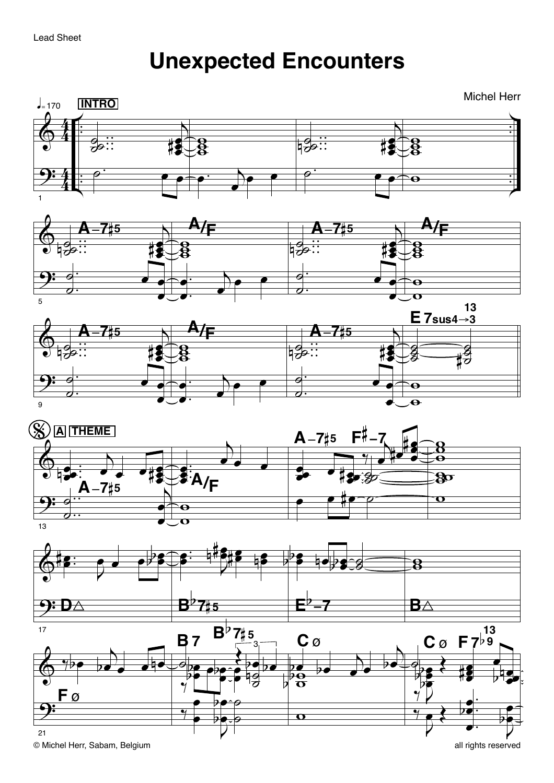## **Unexpected Encounters**

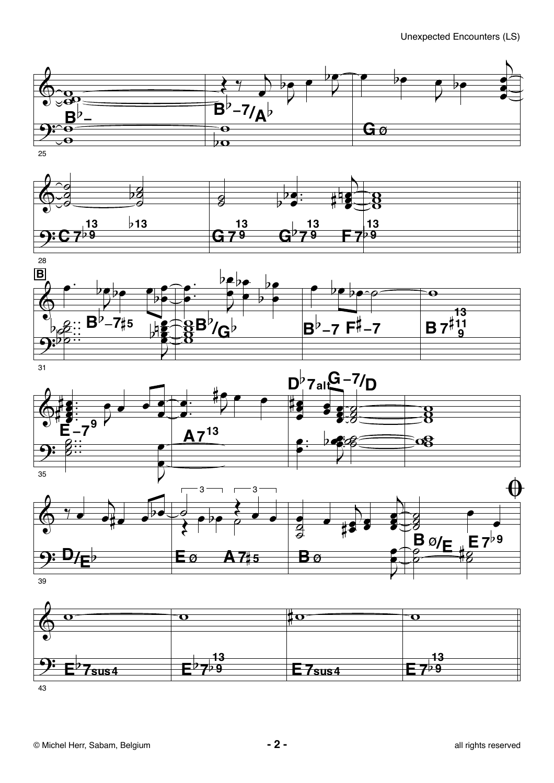Unexpected Encounters (LS)



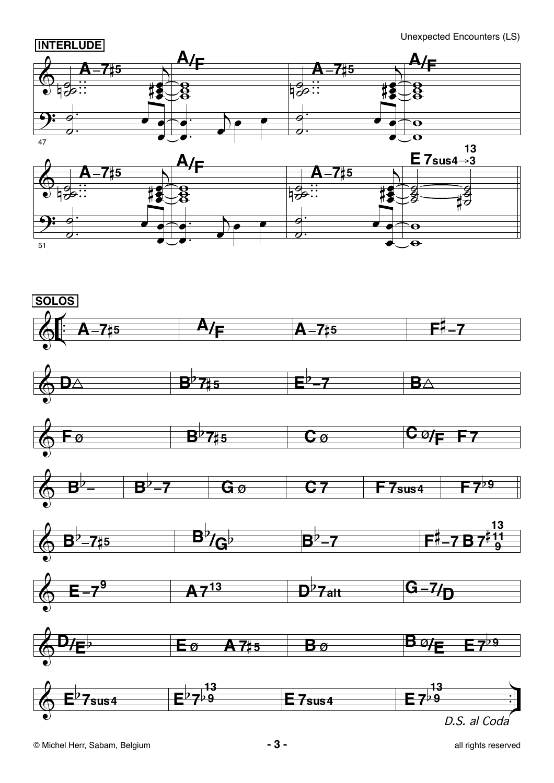